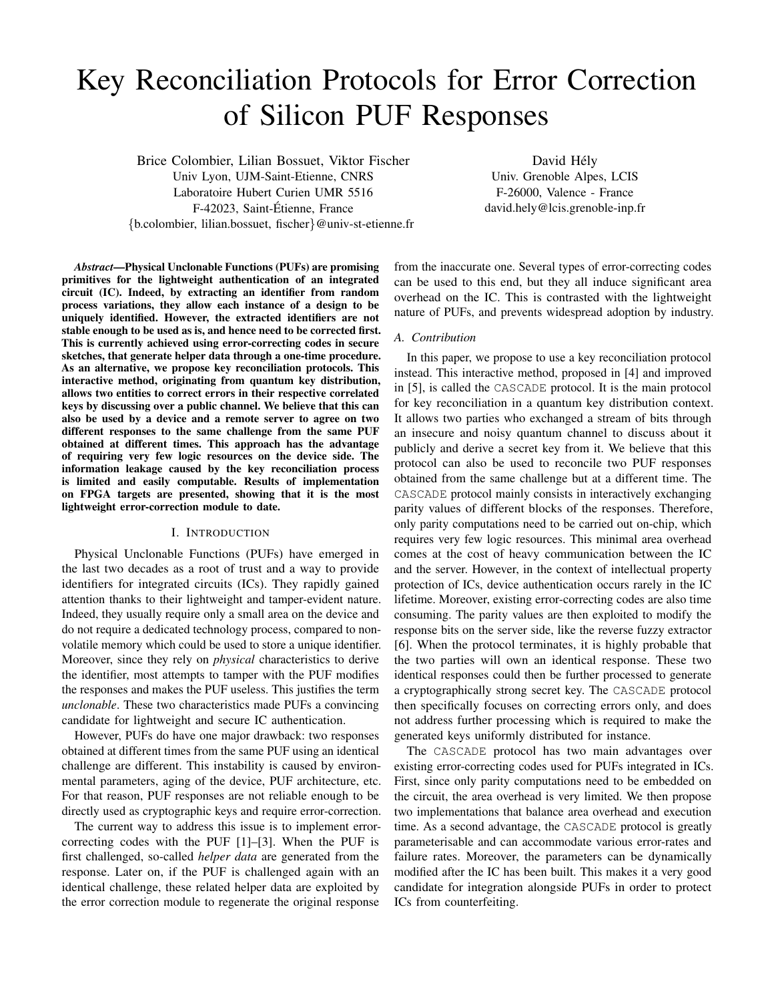# Key Reconciliation Protocols for Error Correction of Silicon PUF Responses

Brice Colombier, Lilian Bossuet, Viktor Fischer Univ Lyon, UJM-Saint-Etienne, CNRS Laboratoire Hubert Curien UMR 5516 F-42023, Saint-Etienne, France ´ {b.colombier, lilian.bossuet, fischer}@univ-st-etienne.fr

David Hély Univ. Grenoble Alpes, LCIS F-26000, Valence - France david.hely@lcis.grenoble-inp.fr

*Abstract*—Physical Unclonable Functions (PUFs) are promising primitives for the lightweight authentication of an integrated circuit (IC). Indeed, by extracting an identifier from random process variations, they allow each instance of a design to be uniquely identified. However, the extracted identifiers are not stable enough to be used as is, and hence need to be corrected first. This is currently achieved using error-correcting codes in secure sketches, that generate helper data through a one-time procedure. As an alternative, we propose key reconciliation protocols. This interactive method, originating from quantum key distribution, allows two entities to correct errors in their respective correlated keys by discussing over a public channel. We believe that this can also be used by a device and a remote server to agree on two different responses to the same challenge from the same PUF obtained at different times. This approach has the advantage of requiring very few logic resources on the device side. The information leakage caused by the key reconciliation process is limited and easily computable. Results of implementation on FPGA targets are presented, showing that it is the most lightweight error-correction module to date.

#### I. INTRODUCTION

<span id="page-0-0"></span>Physical Unclonable Functions (PUFs) have emerged in the last two decades as a root of trust and a way to provide identifiers for integrated circuits (ICs). They rapidly gained attention thanks to their lightweight and tamper-evident nature. Indeed, they usually require only a small area on the device and do not require a dedicated technology process, compared to nonvolatile memory which could be used to store a unique identifier. Moreover, since they rely on *physical* characteristics to derive the identifier, most attempts to tamper with the PUF modifies the responses and makes the PUF useless. This justifies the term *unclonable*. These two characteristics made PUFs a convincing candidate for lightweight and secure IC authentication.

However, PUFs do have one major drawback: two responses obtained at different times from the same PUF using an identical challenge are different. This instability is caused by environmental parameters, aging of the device, PUF architecture, etc. For that reason, PUF responses are not reliable enough to be directly used as cryptographic keys and require error-correction.

The current way to address this issue is to implement errorcorrecting codes with the PUF [\[1\]](#page-14-0)–[\[3\]](#page-14-1). When the PUF is first challenged, so-called *helper data* are generated from the response. Later on, if the PUF is challenged again with an identical challenge, these related helper data are exploited by the error correction module to regenerate the original response

from the inaccurate one. Several types of error-correcting codes can be used to this end, but they all induce significant area overhead on the IC. This is contrasted with the lightweight nature of PUFs, and prevents widespread adoption by industry.

#### *A. Contribution*

In this paper, we propose to use a key reconciliation protocol instead. This interactive method, proposed in [\[4\]](#page-14-2) and improved in [\[5\]](#page-14-3), is called the CASCADE protocol. It is the main protocol for key reconciliation in a quantum key distribution context. It allows two parties who exchanged a stream of bits through an insecure and noisy quantum channel to discuss about it publicly and derive a secret key from it. We believe that this protocol can also be used to reconcile two PUF responses obtained from the same challenge but at a different time. The CASCADE protocol mainly consists in interactively exchanging parity values of different blocks of the responses. Therefore, only parity computations need to be carried out on-chip, which requires very few logic resources. This minimal area overhead comes at the cost of heavy communication between the IC and the server. However, in the context of intellectual property protection of ICs, device authentication occurs rarely in the IC lifetime. Moreover, existing error-correcting codes are also time consuming. The parity values are then exploited to modify the response bits on the server side, like the reverse fuzzy extractor [\[6\]](#page-14-4). When the protocol terminates, it is highly probable that the two parties will own an identical response. These two identical responses could then be further processed to generate a cryptographically strong secret key. The CASCADE protocol then specifically focuses on correcting errors only, and does not address further processing which is required to make the generated keys uniformly distributed for instance.

The CASCADE protocol has two main advantages over existing error-correcting codes used for PUFs integrated in ICs. First, since only parity computations need to be embedded on the circuit, the area overhead is very limited. We then propose two implementations that balance area overhead and execution time. As a second advantage, the CASCADE protocol is greatly parameterisable and can accommodate various error-rates and failure rates. Moreover, the parameters can be dynamically modified after the IC has been built. This makes it a very good candidate for integration alongside PUFs in order to protect ICs from counterfeiting.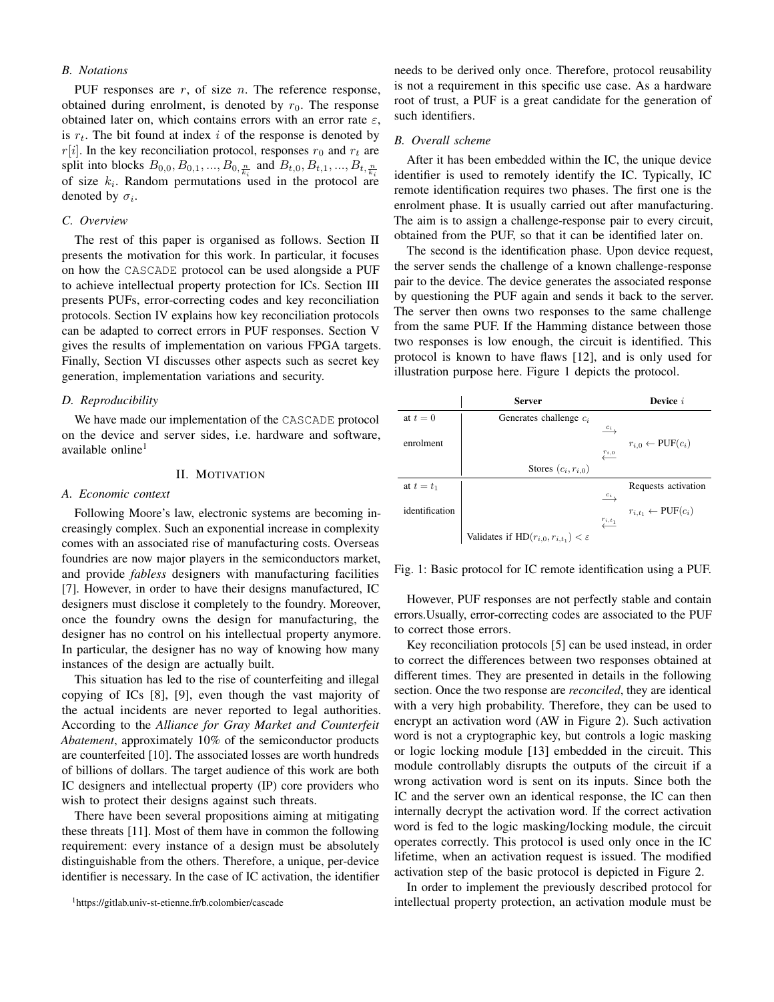# *B. Notations*

PUF responses are  $r$ , of size  $n$ . The reference response, obtained during enrolment, is denoted by  $r_0$ . The response obtained later on, which contains errors with an error rate  $\varepsilon$ , is  $r_t$ . The bit found at index i of the response is denoted by  $r[i]$ . In the key reconciliation protocol, responses  $r_0$  and  $r_t$  are split into blocks  $B_{0,0}, B_{0,1}, ..., B_{0, \frac{n}{k_i}}$  and  $B_{t,0}, B_{t,1}, ..., B_{t, \frac{n}{k_i}}$ of size  $k_i$ . Random permutations used in the protocol are denoted by  $\sigma_i$ .

# *C. Overview*

The rest of this paper is organised as follows. Section [II](#page-1-0) presents the motivation for this work. In particular, it focuses on how the CASCADE protocol can be used alongside a PUF to achieve intellectual property protection for ICs. Section [III](#page-2-0) presents PUFs, error-correcting codes and key reconciliation protocols. Section [IV](#page-5-0) explains how key reconciliation protocols can be adapted to correct errors in PUF responses. Section [V](#page-8-0) gives the results of implementation on various FPGA targets. Finally, Section [VI](#page-11-0) discusses other aspects such as secret key generation, implementation variations and security.

#### *D. Reproducibility*

We have made our implementation of the CASCADE protocol on the device and server sides, i.e. hardware and software, available online<sup>[1](#page-1-1)</sup>

# II. MOTIVATION

## <span id="page-1-0"></span>*A. Economic context*

Following Moore's law, electronic systems are becoming increasingly complex. Such an exponential increase in complexity comes with an associated rise of manufacturing costs. Overseas foundries are now major players in the semiconductors market, and provide *fabless* designers with manufacturing facilities [\[7\]](#page-14-5). However, in order to have their designs manufactured, IC designers must disclose it completely to the foundry. Moreover, once the foundry owns the design for manufacturing, the designer has no control on his intellectual property anymore. In particular, the designer has no way of knowing how many instances of the design are actually built.

This situation has led to the rise of counterfeiting and illegal copying of ICs [\[8\]](#page-14-6), [\[9\]](#page-14-7), even though the vast majority of the actual incidents are never reported to legal authorities. According to the *Alliance for Gray Market and Counterfeit Abatement*, approximately 10% of the semiconductor products are counterfeited [\[10\]](#page-14-8). The associated losses are worth hundreds of billions of dollars. The target audience of this work are both IC designers and intellectual property (IP) core providers who wish to protect their designs against such threats.

There have been several propositions aiming at mitigating these threats [\[11\]](#page-14-9). Most of them have in common the following requirement: every instance of a design must be absolutely distinguishable from the others. Therefore, a unique, per-device identifier is necessary. In the case of IC activation, the identifier

<span id="page-1-1"></span><sup>1</sup>https://gitlab.univ-st-etienne.fr/b.colombier/cascade

needs to be derived only once. Therefore, protocol reusability is not a requirement in this specific use case. As a hardware root of trust, a PUF is a great candidate for the generation of such identifiers.

## *B. Overall scheme*

After it has been embedded within the IC, the unique device identifier is used to remotely identify the IC. Typically, IC remote identification requires two phases. The first one is the enrolment phase. It is usually carried out after manufacturing. The aim is to assign a challenge-response pair to every circuit, obtained from the PUF, so that it can be identified later on.

The second is the identification phase. Upon device request, the server sends the challenge of a known challenge-response pair to the device. The device generates the associated response by questioning the PUF again and sends it back to the server. The server then owns two responses to the same challenge from the same PUF. If the Hamming distance between those two responses is low enough, the circuit is identified. This protocol is known to have flaws [\[12\]](#page-14-10), and is only used for illustration purpose here. Figure [1](#page-1-2) depicts the protocol.

<span id="page-1-2"></span>

|                | Server                                              |                          | Device $i$                             |
|----------------|-----------------------------------------------------|--------------------------|----------------------------------------|
| at $t=0$       | Generates challenge $c_i$                           |                          |                                        |
|                |                                                     | $c_i$                    |                                        |
| enrolment      |                                                     |                          | $r_{i,0} \leftarrow \text{PUF}(c_i)$   |
|                |                                                     | $\frac{r_{i,0}}{2}$      |                                        |
|                | Stores $(c_i, r_{i,0})$                             |                          |                                        |
| at $t=t_1$     |                                                     |                          | Requests activation                    |
|                |                                                     | $\frac{c_i}{\sqrt{c_i}}$ |                                        |
| identification |                                                     |                          | $r_{i,t_1} \leftarrow \text{PUF}(c_i)$ |
|                |                                                     | $\frac{r_{i,t_1}}{4}$    |                                        |
|                | Validates if $HD(r_{i,0}, r_{i,t_1}) < \varepsilon$ |                          |                                        |

Fig. 1: Basic protocol for IC remote identification using a PUF.

However, PUF responses are not perfectly stable and contain errors.Usually, error-correcting codes are associated to the PUF to correct those errors.

Key reconciliation protocols [\[5\]](#page-14-3) can be used instead, in order to correct the differences between two responses obtained at different times. They are presented in details in the following section. Once the two response are *reconciled*, they are identical with a very high probability. Therefore, they can be used to encrypt an activation word (AW in Figure [2\)](#page-2-1). Such activation word is not a cryptographic key, but controls a logic masking or logic locking module [\[13\]](#page-14-11) embedded in the circuit. This module controllably disrupts the outputs of the circuit if a wrong activation word is sent on its inputs. Since both the IC and the server own an identical response, the IC can then internally decrypt the activation word. If the correct activation word is fed to the logic masking/locking module, the circuit operates correctly. This protocol is used only once in the IC lifetime, when an activation request is issued. The modified activation step of the basic protocol is depicted in Figure [2.](#page-2-1)

In order to implement the previously described protocol for intellectual property protection, an activation module must be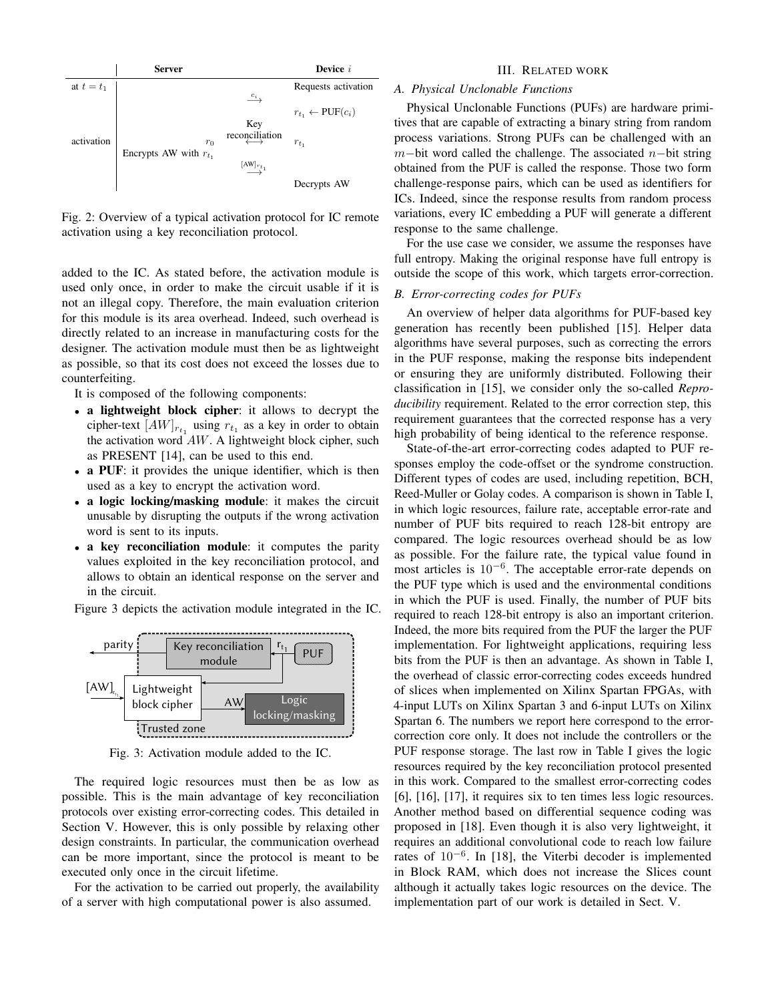<span id="page-2-1"></span>

Fig. 2: Overview of a typical activation protocol for IC remote activation using a key reconciliation protocol.

added to the IC. As stated before, the activation module is used only once, in order to make the circuit usable if it is not an illegal copy. Therefore, the main evaluation criterion for this module is its area overhead. Indeed, such overhead is directly related to an increase in manufacturing costs for the designer. The activation module must then be as lightweight as possible, so that its cost does not exceed the losses due to counterfeiting.

It is composed of the following components:

- a lightweight block cipher: it allows to decrypt the cipher-text  $[AW]_{r_{t_1}}$  using  $r_{t_1}$  as a key in order to obtain the activation word  $AW$ . A lightweight block cipher, such as PRESENT [\[14\]](#page-14-12), can be used to this end.
- a PUF: it provides the unique identifier, which is then used as a key to encrypt the activation word.
- a logic locking/masking module: it makes the circuit unusable by disrupting the outputs if the wrong activation word is sent to its inputs.
- a key reconciliation module: it computes the parity values exploited in the key reconciliation protocol, and allows to obtain an identical response on the server and in the circuit.

Figure [3](#page-2-2) depicts the activation module integrated in the IC.

<span id="page-2-2"></span>

Fig. 3: Activation module added to the IC.

The required logic resources must then be as low as possible. This is the main advantage of key reconciliation protocols over existing error-correcting codes. This detailed in Section [V.](#page-8-0) However, this is only possible by relaxing other design constraints. In particular, the communication overhead can be more important, since the protocol is meant to be executed only once in the circuit lifetime.

For the activation to be carried out properly, the availability of a server with high computational power is also assumed.

## III. RELATED WORK

# <span id="page-2-0"></span>*A. Physical Unclonable Functions*

Physical Unclonable Functions (PUFs) are hardware primitives that are capable of extracting a binary string from random process variations. Strong PUFs can be challenged with an m−bit word called the challenge. The associated  $n$ −bit string obtained from the PUF is called the response. Those two form challenge-response pairs, which can be used as identifiers for ICs. Indeed, since the response results from random process variations, every IC embedding a PUF will generate a different response to the same challenge.

For the use case we consider, we assume the responses have full entropy. Making the original response have full entropy is outside the scope of this work, which targets error-correction.

# *B. Error-correcting codes for PUFs*

An overview of helper data algorithms for PUF-based key generation has recently been published [\[15\]](#page-14-13). Helper data algorithms have several purposes, such as correcting the errors in the PUF response, making the response bits independent or ensuring they are uniformly distributed. Following their classification in [\[15\]](#page-14-13), we consider only the so-called *Reproducibility* requirement. Related to the error correction step, this requirement guarantees that the corrected response has a very high probability of being identical to the reference response.

State-of-the-art error-correcting codes adapted to PUF responses employ the code-offset or the syndrome construction. Different types of codes are used, including repetition, BCH, Reed-Muller or Golay codes. A comparison is shown in Table [I,](#page-3-0) in which logic resources, failure rate, acceptable error-rate and number of PUF bits required to reach 128-bit entropy are compared. The logic resources overhead should be as low as possible. For the failure rate, the typical value found in most articles is  $10^{-6}$ . The acceptable error-rate depends on the PUF type which is used and the environmental conditions in which the PUF is used. Finally, the number of PUF bits required to reach 128-bit entropy is also an important criterion. Indeed, the more bits required from the PUF the larger the PUF implementation. For lightweight applications, requiring less bits from the PUF is then an advantage. As shown in Table [I,](#page-3-0) the overhead of classic error-correcting codes exceeds hundred of slices when implemented on Xilinx Spartan FPGAs, with 4-input LUTs on Xilinx Spartan 3 and 6-input LUTs on Xilinx Spartan 6. The numbers we report here correspond to the errorcorrection core only. It does not include the controllers or the PUF response storage. The last row in Table [I](#page-3-0) gives the logic resources required by the key reconciliation protocol presented in this work. Compared to the smallest error-correcting codes [\[6\]](#page-14-4), [\[16\]](#page-14-14), [\[17\]](#page-14-15), it requires six to ten times less logic resources. Another method based on differential sequence coding was proposed in [\[18\]](#page-14-16). Even though it is also very lightweight, it requires an additional convolutional code to reach low failure rates of 10−<sup>6</sup> . In [\[18\]](#page-14-16), the Viterbi decoder is implemented in Block RAM, which does not increase the Slices count although it actually takes logic resources on the device. The implementation part of our work is detailed in Sect. [V.](#page-8-0)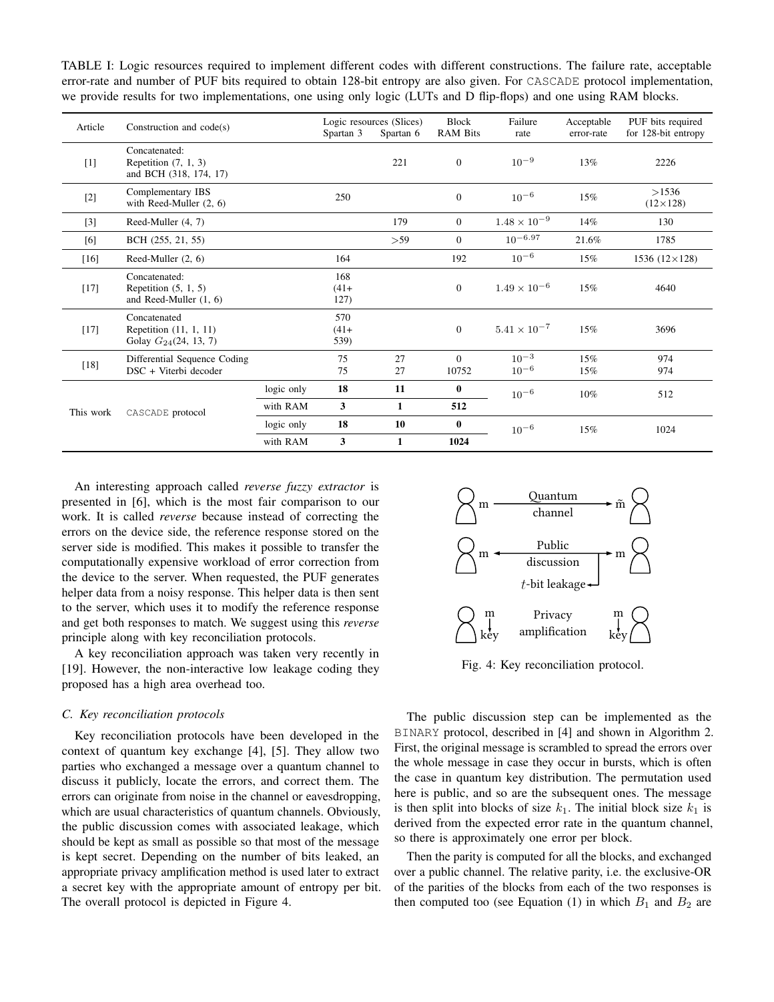<span id="page-3-0"></span>TABLE I: Logic resources required to implement different codes with different constructions. The failure rate, acceptable error-rate and number of PUF bits required to obtain 128-bit entropy are also given. For CASCADE protocol implementation, we provide results for two implementations, one using only logic (LUTs and D flip-flops) and one using RAM blocks.

| Article   | Construction and code(s)                                              |            | Spartan 3             | Logic resources (Slices)<br>Spartan 6 | <b>Block</b><br><b>RAM Bits</b> | Failure<br>rate        | Acceptable<br>error-rate | PUF bits required<br>for 128-bit entropy |
|-----------|-----------------------------------------------------------------------|------------|-----------------------|---------------------------------------|---------------------------------|------------------------|--------------------------|------------------------------------------|
| [1]       | Concatenated:<br>Repetition $(7, 1, 3)$<br>and BCH (318, 174, 17)     |            |                       | 221                                   | $\mathbf{0}$                    | $10^{-9}$              | 13%                      | 2226                                     |
| $[2]$     | Complementary IBS<br>with Reed-Muller $(2, 6)$                        |            | 250                   |                                       | $\mathbf{0}$                    | $10^{-6}$              | 15%                      | >1536<br>$(12\times128)$                 |
| $[3]$     | Reed-Muller (4, 7)                                                    |            |                       | 179                                   | $\overline{0}$                  | $1.48\times10^{-9}$    | 14%                      | 130                                      |
| [6]       | BCH (255, 21, 55)                                                     |            |                       | >59                                   | $\Omega$                        | $10^{-6.97}$           | 21.6%                    | 1785                                     |
| $[16]$    | Reed-Muller $(2, 6)$                                                  |            | 164                   |                                       | 192                             | $10^{-6}$              | 15%                      | $1536 (12 \times 128)$                   |
| $[17]$    | Concatenated:<br>Repetition $(5, 1, 5)$<br>and Reed-Muller $(1, 6)$   |            | 168<br>$(41+$<br>127) |                                       | $\mathbf{0}$                    | $1.49 \times 10^{-6}$  | 15%                      | 4640                                     |
| $[17]$    | Concatenated<br>Repetition $(11, 1, 11)$<br>Golay $G_{24}(24, 13, 7)$ |            | 570<br>$(41+$<br>539) |                                       | $\mathbf{0}$                    | $5.41 \times 10^{-7}$  | 15%                      | 3696                                     |
| $[18]$    | Differential Sequence Coding<br>DSC + Viterbi decoder                 |            | 75<br>75              | 27<br>27                              | $\Omega$<br>10752               | $10^{-3}$<br>$10^{-6}$ | 15%<br>15%               | 974<br>974                               |
|           |                                                                       | logic only | 18                    | 11                                    | $\mathbf{0}$                    | $10^{-6}$              | 10%                      | 512                                      |
| This work | CASCADE protocol                                                      | with RAM   | 3                     | $\mathbf{1}$                          | 512                             |                        |                          |                                          |
|           |                                                                       | logic only |                       | 10                                    | $\bf{0}$                        | $10^{-6}$              | 15%                      | 1024                                     |
|           |                                                                       | with RAM   | 3                     | $\mathbf{1}$                          | 1024                            |                        |                          |                                          |

An interesting approach called *reverse fuzzy extractor* is presented in [\[6\]](#page-14-4), which is the most fair comparison to our work. It is called *reverse* because instead of correcting the errors on the device side, the reference response stored on the server side is modified. This makes it possible to transfer the computationally expensive workload of error correction from the device to the server. When requested, the PUF generates helper data from a noisy response. This helper data is then sent to the server, which uses it to modify the reference response and get both responses to match. We suggest using this *reverse* principle along with key reconciliation protocols.

A key reconciliation approach was taken very recently in [\[19\]](#page-14-18). However, the non-interactive low leakage coding they proposed has a high area overhead too.

#### *C. Key reconciliation protocols*

Key reconciliation protocols have been developed in the context of quantum key exchange [\[4\]](#page-14-2), [\[5\]](#page-14-3). They allow two parties who exchanged a message over a quantum channel to discuss it publicly, locate the errors, and correct them. The errors can originate from noise in the channel or eavesdropping, which are usual characteristics of quantum channels. Obviously, the public discussion comes with associated leakage, which should be kept as small as possible so that most of the message is kept secret. Depending on the number of bits leaked, an appropriate privacy amplification method is used later to extract a secret key with the appropriate amount of entropy per bit. The overall protocol is depicted in Figure [4.](#page-3-1)

<span id="page-3-1"></span>

Fig. 4: Key reconciliation protocol.

The public discussion step can be implemented as the BINARY protocol, described in [\[4\]](#page-14-2) and shown in Algorithm [2.](#page-4-0) First, the original message is scrambled to spread the errors over the whole message in case they occur in bursts, which is often the case in quantum key distribution. The permutation used here is public, and so are the subsequent ones. The message is then split into blocks of size  $k_1$ . The initial block size  $k_1$  is derived from the expected error rate in the quantum channel, so there is approximately one error per block.

Then the parity is computed for all the blocks, and exchanged over a public channel. The relative parity, i.e. the exclusive-OR of the parities of the blocks from each of the two responses is then computed too (see Equation [\(1\)](#page-4-1) in which  $B_1$  and  $B_2$  are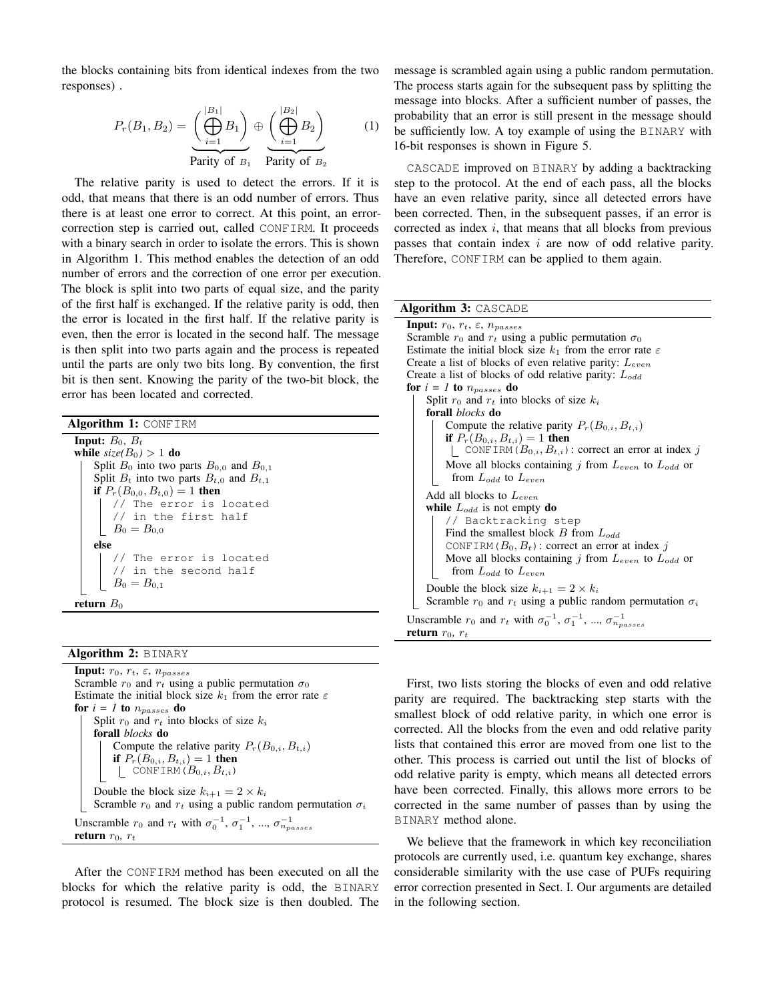the blocks containing bits from identical indexes from the two responses) .

<span id="page-4-1"></span>
$$
P_r(B_1, B_2) = \underbrace{\left(\bigoplus_{i=1}^{|B_1|} B_1\right)}_{\text{Parity of } B_1} \oplus \underbrace{\left(\bigoplus_{i=1}^{|B_2|} B_2\right)}_{\text{Parity of } B_2} \tag{1}
$$

The relative parity is used to detect the errors. If it is odd, that means that there is an odd number of errors. Thus there is at least one error to correct. At this point, an errorcorrection step is carried out, called CONFIRM. It proceeds with a binary search in order to isolate the errors. This is shown in Algorithm [1.](#page-4-2) This method enables the detection of an odd number of errors and the correction of one error per execution. The block is split into two parts of equal size, and the parity of the first half is exchanged. If the relative parity is odd, then the error is located in the first half. If the relative parity is even, then the error is located in the second half. The message is then split into two parts again and the process is repeated until the parts are only two bits long. By convention, the first bit is then sent. Knowing the parity of the two-bit block, the error has been located and corrected.

<span id="page-4-2"></span>

| <b>Algorithm 1: CONFIRM</b>                        |
|----------------------------------------------------|
| <b>Input:</b> $B_0$ , $B_t$                        |
| while $size(B_0) > 1$ do                           |
| Split $B_0$ into two parts $B_{0,0}$ and $B_{0,1}$ |
| Split $B_t$ into two parts $B_{t,0}$ and $B_{t,1}$ |
| if $P_r(B_{0,0}, B_{t,0}) = 1$ then                |
| // The error is located                            |
| $\vert$ // in the first half                       |
| $B_0 = B_{0,0}$                                    |
| else                                               |
| // The error is located                            |
|                                                    |
| // in the second half<br>$B_0 = B_{0,1}$           |
| <b>return</b> $B_0$                                |

## Algorithm 2: BINARY

```
Input: r_0, r_t, \varepsilon, n_{passes}Scramble r_0 and r_t using a public permutation \sigma_0Estimate the initial block size k_1 from the error rate \varepsilonfor i = 1 to n_{passes} do
Split r_0 and r_t into blocks of size k_iforall blocks do
     Compute the relative parity P_r(B_{0,i}, B_{t,i})if P_r(B_{0,i}, B_{t,i}) = 1 then
      CONFIRM (B_{0,i}, B_{t,i})Double the block size k_{i+1} = 2 \times k_iScramble r_0 and r_t using a public random permutation \sigma_iUnscramble r_0 and r_t with \sigma_0^{-1}, \sigma_1^{-1}, ..., \sigma_{n_{passes}}^{-1}return r_0, r_t
```
After the CONFIRM method has been executed on all the blocks for which the relative parity is odd, the BINARY protocol is resumed. The block size is then doubled. The message is scrambled again using a public random permutation. The process starts again for the subsequent pass by splitting the message into blocks. After a sufficient number of passes, the probability that an error is still present in the message should be sufficiently low. A toy example of using the BINARY with 16-bit responses is shown in Figure [5.](#page-5-1)

CASCADE improved on BINARY by adding a backtracking step to the protocol. At the end of each pass, all the blocks have an even relative parity, since all detected errors have been corrected. Then, in the subsequent passes, if an error is corrected as index  $i$ , that means that all blocks from previous passes that contain index i are now of odd relative parity. Therefore, CONFIRM can be applied to them again.

#### Algorithm 3: CASCADE

| <b>Input:</b> $r_0, r_t, \varepsilon, n_{passes}$                                                |  |  |  |  |  |  |  |
|--------------------------------------------------------------------------------------------------|--|--|--|--|--|--|--|
| Scramble $r_0$ and $r_t$ using a public permutation $\sigma_0$                                   |  |  |  |  |  |  |  |
| Estimate the initial block size $k_1$ from the error rate $\varepsilon$                          |  |  |  |  |  |  |  |
| Create a list of blocks of even relative parity: $L_{even}$                                      |  |  |  |  |  |  |  |
| Create a list of blocks of odd relative parity: $L_{odd}$                                        |  |  |  |  |  |  |  |
| for $i = 1$ to $n_{passes}$ do                                                                   |  |  |  |  |  |  |  |
| Split $r_0$ and $r_t$ into blocks of size $k_i$                                                  |  |  |  |  |  |  |  |
| forall <i>blocks</i> do                                                                          |  |  |  |  |  |  |  |
| Compute the relative parity $P_r(B_{0,i}, B_{t,i})$                                              |  |  |  |  |  |  |  |
| <b>if</b> $P_r(B_{0,i}, B_{t,i}) = 1$ then                                                       |  |  |  |  |  |  |  |
| CONFIRM $(B_{0,i}, B_{t,i})$ : correct an error at index j                                       |  |  |  |  |  |  |  |
| Move all blocks containing j from $L_{even}$ to $L_{odd}$ or                                     |  |  |  |  |  |  |  |
| from $L_{odd}$ to $L_{even}$                                                                     |  |  |  |  |  |  |  |
| Add all blocks to $L_{even}$                                                                     |  |  |  |  |  |  |  |
| while $L_{odd}$ is not empty do                                                                  |  |  |  |  |  |  |  |
| // Backtracking step                                                                             |  |  |  |  |  |  |  |
| Find the smallest block $B$ from $L_{odd}$                                                       |  |  |  |  |  |  |  |
| CONFIRM $(B_0, B_t)$ : correct an error at index j                                               |  |  |  |  |  |  |  |
| Move all blocks containing j from $L_{even}$ to $L_{odd}$ or                                     |  |  |  |  |  |  |  |
| from $L_{odd}$ to $L_{even}$                                                                     |  |  |  |  |  |  |  |
| Double the block size $k_{i+1} = 2 \times k_i$                                                   |  |  |  |  |  |  |  |
| Scramble $r_0$ and $r_t$ using a public random permutation $\sigma_i$                            |  |  |  |  |  |  |  |
| Unscramble $r_0$ and $r_t$ with $\sigma_0^{-1}$ , $\sigma_1^{-1}$ , , $\sigma_{n_{masses}}^{-1}$ |  |  |  |  |  |  |  |
| return $r_0$ , $r_t$                                                                             |  |  |  |  |  |  |  |

First, two lists storing the blocks of even and odd relative parity are required. The backtracking step starts with the smallest block of odd relative parity, in which one error is corrected. All the blocks from the even and odd relative parity lists that contained this error are moved from one list to the other. This process is carried out until the list of blocks of odd relative parity is empty, which means all detected errors have been corrected. Finally, this allows more errors to be corrected in the same number of passes than by using the BINARY method alone.

We believe that the framework in which key reconciliation protocols are currently used, i.e. quantum key exchange, shares considerable similarity with the use case of PUFs requiring error correction presented in Sect. [I.](#page-0-0) Our arguments are detailed in the following section.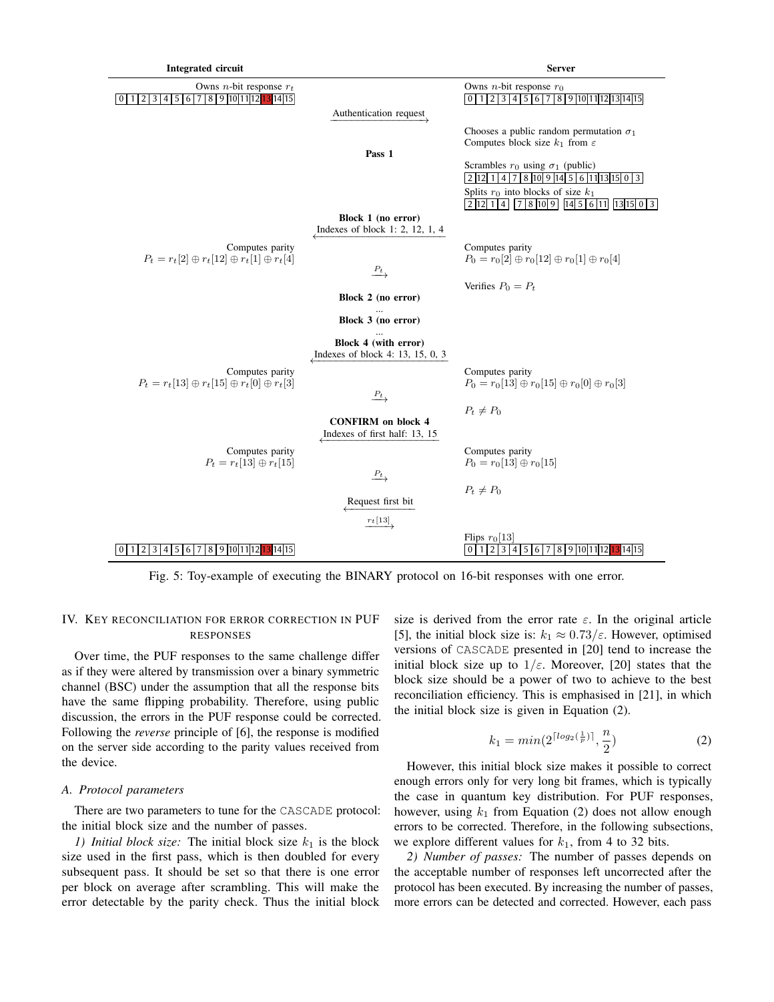<span id="page-5-1"></span>

Fig. 5: Toy-example of executing the BINARY protocol on 16-bit responses with one error.

# <span id="page-5-0"></span>IV. KEY RECONCILIATION FOR ERROR CORRECTION IN PUF RESPONSES

Over time, the PUF responses to the same challenge differ as if they were altered by transmission over a binary symmetric channel (BSC) under the assumption that all the response bits have the same flipping probability. Therefore, using public discussion, the errors in the PUF response could be corrected. Following the *reverse* principle of [\[6\]](#page-14-4), the response is modified on the server side according to the parity values received from the device.

## *A. Protocol parameters*

There are two parameters to tune for the CASCADE protocol: the initial block size and the number of passes.

*1) Initial block size:* The initial block size  $k_1$  is the block size used in the first pass, which is then doubled for every subsequent pass. It should be set so that there is one error per block on average after scrambling. This will make the error detectable by the parity check. Thus the initial block size is derived from the error rate  $\varepsilon$ . In the original article [\[5\]](#page-14-3), the initial block size is:  $k_1 \approx 0.73/\varepsilon$ . However, optimised versions of CASCADE presented in [\[20\]](#page-14-19) tend to increase the initial block size up to  $1/\varepsilon$ . Moreover, [\[20\]](#page-14-19) states that the block size should be a power of two to achieve to the best reconciliation efficiency. This is emphasised in [\[21\]](#page-14-20), in which the initial block size is given in Equation [\(2\)](#page-5-2).

<span id="page-5-2"></span>
$$
k_1 = \min(2^{\lceil \log_2(\frac{1}{p}) \rceil}, \frac{n}{2})
$$
 (2)

However, this initial block size makes it possible to correct enough errors only for very long bit frames, which is typically the case in quantum key distribution. For PUF responses, however, using  $k_1$  from Equation [\(2\)](#page-5-2) does not allow enough errors to be corrected. Therefore, in the following subsections, we explore different values for  $k_1$ , from 4 to 32 bits.

*2) Number of passes:* The number of passes depends on the acceptable number of responses left uncorrected after the protocol has been executed. By increasing the number of passes, more errors can be detected and corrected. However, each pass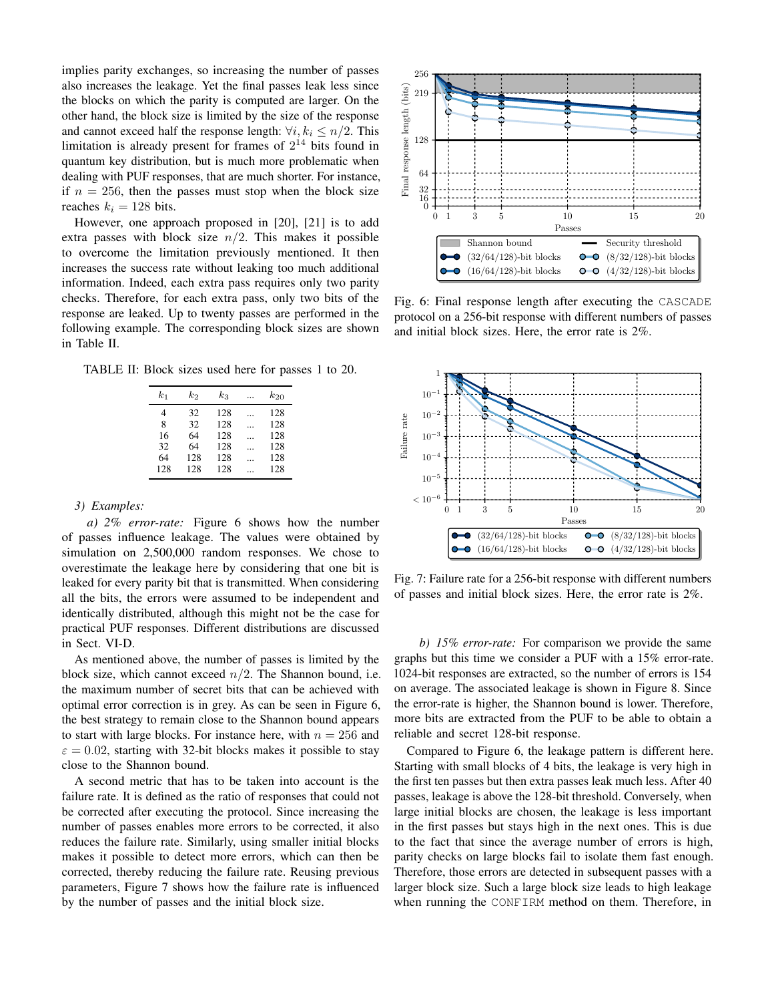implies parity exchanges, so increasing the number of passes also increases the leakage. Yet the final passes leak less since the blocks on which the parity is computed are larger. On the other hand, the block size is limited by the size of the response and cannot exceed half the response length:  $\forall i, k_i \leq n/2$ . This limitation is already present for frames of  $2^{14}$  bits found in quantum key distribution, but is much more problematic when dealing with PUF responses, that are much shorter. For instance, if  $n = 256$ , then the passes must stop when the block size reaches  $k_i = 128$  bits.

However, one approach proposed in [\[20\]](#page-14-19), [\[21\]](#page-14-20) is to add extra passes with block size  $n/2$ . This makes it possible to overcome the limitation previously mentioned. It then increases the success rate without leaking too much additional information. Indeed, each extra pass requires only two parity checks. Therefore, for each extra pass, only two bits of the response are leaked. Up to twenty passes are performed in the following example. The corresponding block sizes are shown in Table [II.](#page-6-0)

<span id="page-6-0"></span>TABLE II: Block sizes used here for passes 1 to 20.

| $_{k_1}$ | k2  | $k_{3}$ | $k_{20}$ |
|----------|-----|---------|----------|
| 4        | 32  | 128     | 128      |
| 8        | 32  | 128     | 128      |
| 16       | 64  | 128     | 128      |
| 32       | 64  | 128     | 128      |
| 64       | 128 | 128     | 128      |
| 128      | 128 | 128     | 128      |

#### *3) Examples:*

*a) 2% error-rate:* Figure [6](#page-6-1) shows how the number of passes influence leakage. The values were obtained by simulation on 2,500,000 random responses. We chose to overestimate the leakage here by considering that one bit is leaked for every parity bit that is transmitted. When considering all the bits, the errors were assumed to be independent and identically distributed, although this might not be the case for practical PUF responses. Different distributions are discussed in Sect. [VI-D.](#page-13-0)

As mentioned above, the number of passes is limited by the block size, which cannot exceed  $n/2$ . The Shannon bound, i.e. the maximum number of secret bits that can be achieved with optimal error correction is in grey. As can be seen in Figure [6,](#page-6-1) the best strategy to remain close to the Shannon bound appears to start with large blocks. For instance here, with  $n = 256$  and  $\varepsilon = 0.02$ , starting with 32-bit blocks makes it possible to stay close to the Shannon bound.

A second metric that has to be taken into account is the failure rate. It is defined as the ratio of responses that could not be corrected after executing the protocol. Since increasing the number of passes enables more errors to be corrected, it also reduces the failure rate. Similarly, using smaller initial blocks makes it possible to detect more errors, which can then be corrected, thereby reducing the failure rate. Reusing previous parameters, Figure [7](#page-6-2) shows how the failure rate is influenced

<span id="page-6-1"></span>

<span id="page-6-2"></span>Fig. 6: Final response length after executing the CASCADE protocol on a 256-bit response with different numbers of passes and initial block sizes. Here, the error rate is 2%.



Fig. 7: Failure rate for a 256-bit response with different numbers of passes and initial block sizes. Here, the error rate is 2%.

*b) 15% error-rate:* For comparison we provide the same graphs but this time we consider a PUF with a 15% error-rate. 1024-bit responses are extracted, so the number of errors is 154 on average. The associated leakage is shown in Figure [8.](#page-7-0) Since the error-rate is higher, the Shannon bound is lower. Therefore, more bits are extracted from the PUF to be able to obtain a reliable and secret 128-bit response.

Compared to Figure [6,](#page-6-1) the leakage pattern is different here. Starting with small blocks of 4 bits, the leakage is very high in the first ten passes but then extra passes leak much less. After 40 passes, leakage is above the 128-bit threshold. Conversely, when large initial blocks are chosen, the leakage is less important in the first passes but stays high in the next ones. This is due to the fact that since the average number of errors is high, parity checks on large blocks fail to isolate them fast enough. Therefore, those errors are detected in subsequent passes with a larger block size. Such a large block size leads to high leakage when running the CONFIRM method on them. Therefore, in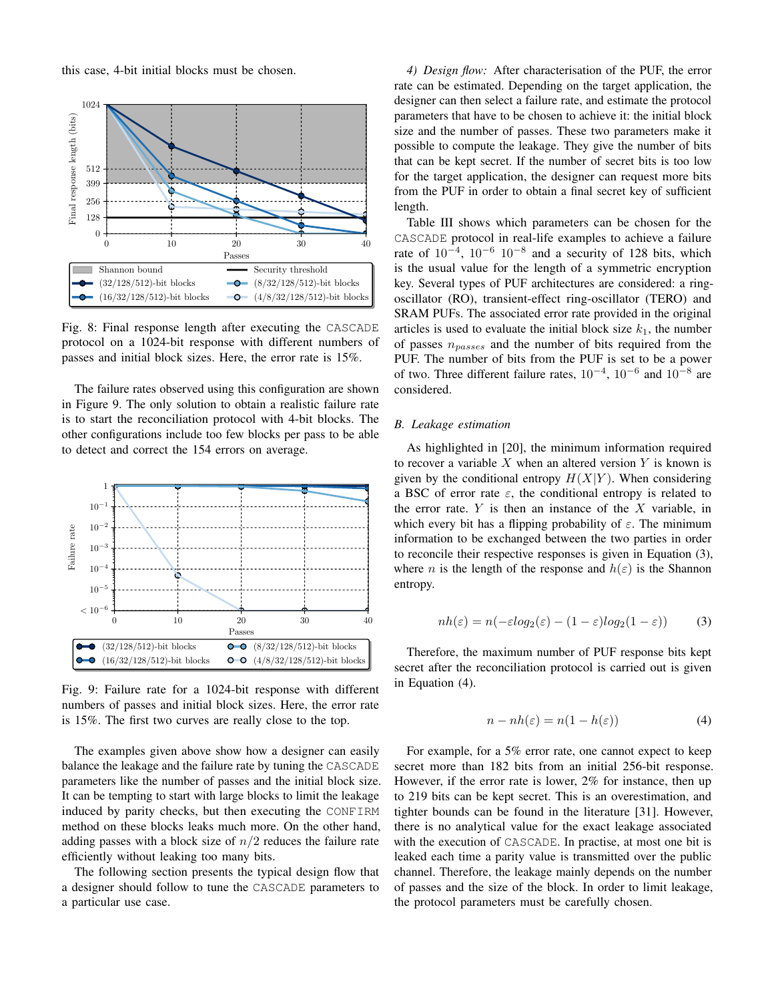this case, 4-bit initial blocks must be chosen.

<span id="page-7-0"></span>

Fig. 8: Final response length after executing the CASCADE protocol on a 1024-bit response with different numbers of passes and initial block sizes. Here, the error rate is 15%.

The failure rates observed using this configuration are shown in Figure [9.](#page-7-1) The only solution to obtain a realistic failure rate is to start the reconciliation protocol with 4-bit blocks. The other configurations include too few blocks per pass to be able to detect and correct the 154 errors on average.

<span id="page-7-1"></span>

Fig. 9: Failure rate for a 1024-bit response with different numbers of passes and initial block sizes. Here, the error rate is 15%. The first two curves are really close to the top.

The examples given above show how a designer can easily balance the leakage and the failure rate by tuning the CASCADE parameters like the number of passes and the initial block size. It can be tempting to start with large blocks to limit the leakage induced by parity checks, but then executing the CONFIRM method on these blocks leaks much more. On the other hand, adding passes with a block size of  $n/2$  reduces the failure rate efficiently without leaking too many bits.

The following section presents the typical design flow that a designer should follow to tune the CASCADE parameters to a particular use case.

*4) Design flow:* After characterisation of the PUF, the error rate can be estimated. Depending on the target application, the designer can then select a failure rate, and estimate the protocol parameters that have to be chosen to achieve it: the initial block size and the number of passes. These two parameters make it possible to compute the leakage. They give the number of bits that can be kept secret. If the number of secret bits is too low for the target application, the designer can request more bits from the PUF in order to obtain a final secret key of sufficient length.

Table [III](#page-8-1) shows which parameters can be chosen for the CASCADE protocol in real-life examples to achieve a failure rate of  $10^{-4}$ ,  $10^{-6}$   $10^{-8}$  and a security of 128 bits, which is the usual value for the length of a symmetric encryption key. Several types of PUF architectures are considered: a ringoscillator (RO), transient-effect ring-oscillator (TERO) and SRAM PUFs. The associated error rate provided in the original articles is used to evaluate the initial block size  $k_1$ , the number of passes  $n_{passes}$  and the number of bits required from the PUF. The number of bits from the PUF is set to be a power of two. Three different failure rates,  $10^{-4}$ ,  $10^{-6}$  and  $10^{-8}$  are considered.

# *B. Leakage estimation*

As highlighted in [\[20\]](#page-14-19), the minimum information required to recover a variable  $X$  when an altered version  $Y$  is known is given by the conditional entropy  $H(X|Y)$ . When considering a BSC of error rate  $\varepsilon$ , the conditional entropy is related to the error rate.  $Y$  is then an instance of the  $X$  variable, in which every bit has a flipping probability of  $\varepsilon$ . The minimum information to be exchanged between the two parties in order to reconcile their respective responses is given in Equation [\(3\)](#page-7-2), where *n* is the length of the response and  $h(\varepsilon)$  is the Shannon entropy.

<span id="page-7-2"></span>
$$
nh(\varepsilon) = n(-\varepsilon \log_2(\varepsilon) - (1 - \varepsilon) \log_2(1 - \varepsilon))
$$
 (3)

Therefore, the maximum number of PUF response bits kept secret after the reconciliation protocol is carried out is given in Equation [\(4\)](#page-7-3).

<span id="page-7-3"></span>
$$
n - nh(\varepsilon) = n(1 - h(\varepsilon))\tag{4}
$$

For example, for a 5% error rate, one cannot expect to keep secret more than 182 bits from an initial 256-bit response. However, if the error rate is lower, 2% for instance, then up to 219 bits can be kept secret. This is an overestimation, and tighter bounds can be found in the literature [\[31\]](#page-14-21). However, there is no analytical value for the exact leakage associated with the execution of CASCADE. In practise, at most one bit is leaked each time a parity value is transmitted over the public channel. Therefore, the leakage mainly depends on the number of passes and the size of the block. In order to limit leakage, the protocol parameters must be carefully chosen.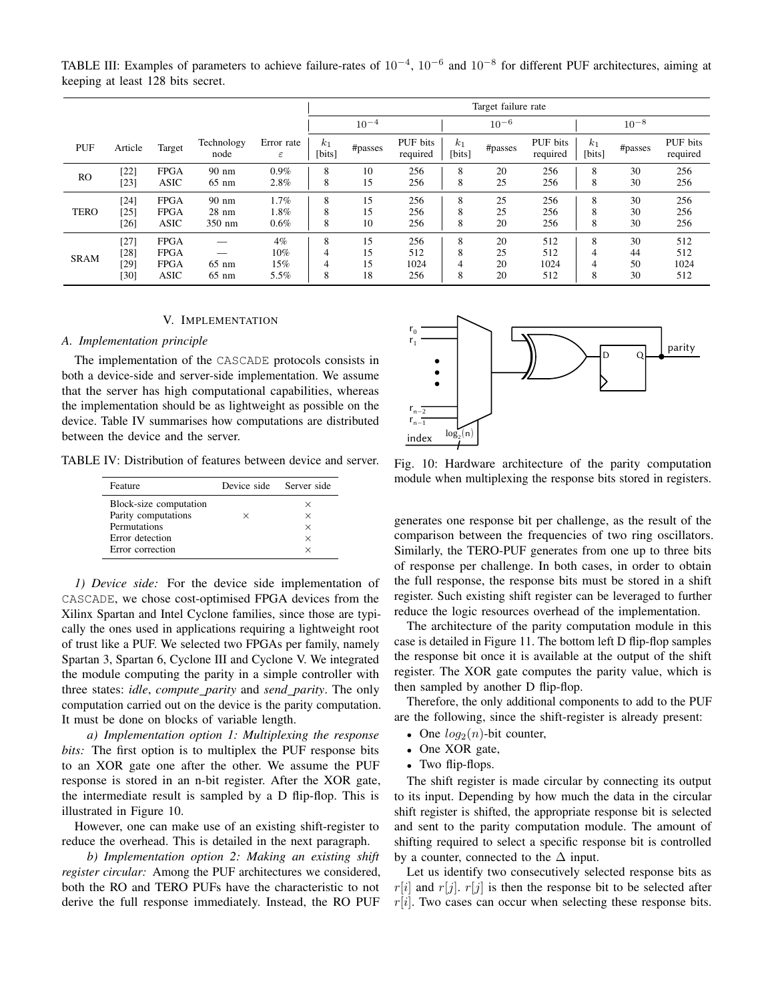|             |                                |                                                   |                                              |                                | Target failure rate                        |                      |                           |                  |                      |                           |                          |                      |                           |
|-------------|--------------------------------|---------------------------------------------------|----------------------------------------------|--------------------------------|--------------------------------------------|----------------------|---------------------------|------------------|----------------------|---------------------------|--------------------------|----------------------|---------------------------|
|             |                                |                                                   |                                              |                                |                                            | $10^{-4}$            |                           |                  | $10^{-6}$            |                           |                          | $10^{-8}$            |                           |
| PUF         | Article                        | Target                                            | Technology<br>node                           | Error rate<br>$\varepsilon$    | $k_1$<br>[bits]                            | #passes              | PUF bits<br>required      | $k_1$<br>[bits]  | #passes              | PUF bits<br>required      | k <sub>1</sub><br>[bits] | #passes              | PUF bits<br>required      |
| <b>RO</b>   | [22]<br>$[23]$                 | <b>FPGA</b><br>ASIC                               | $90 \text{ nm}$<br>$65 \text{ nm}$           | 0.9%<br>2.8%                   | 8<br>8                                     | 10<br>15             | 256<br>256                | 8<br>8           | 20<br>25             | 256<br>256                | 8<br>8                   | 30<br>30             | 256<br>256                |
| <b>TERO</b> | $[24]$<br>[25]<br>$[26]$       | <b>FPGA</b><br><b>FPGA</b><br><b>ASIC</b>         | $90 \text{ nm}$<br>$28 \text{ nm}$<br>350 nm | 1.7%<br>1.8%<br>0.6%           | 8<br>8<br>8                                | 15<br>15<br>10       | 256<br>256<br>256         | 8<br>8<br>8      | 25<br>25<br>20       | 256<br>256<br>256         | 8<br>8<br>8              | 30<br>30<br>30       | 256<br>256<br>256         |
| <b>SRAM</b> | $[27]$<br>[28]<br>[29]<br>[30] | <b>FPGA</b><br><b>FPGA</b><br><b>FPGA</b><br>ASIC | $65 \text{ nm}$<br>$65 \text{ nm}$           | $4\%$<br>$10\%$<br>15%<br>5.5% | 8<br>$\overline{4}$<br>$\overline{4}$<br>8 | 15<br>15<br>15<br>18 | 256<br>512<br>1024<br>256 | 8<br>8<br>4<br>8 | 20<br>25<br>20<br>20 | 512<br>512<br>1024<br>512 | 8<br>4<br>4<br>8         | 30<br>44<br>50<br>30 | 512<br>512<br>1024<br>512 |

<span id="page-8-1"></span>TABLE III: Examples of parameters to achieve failure-rates of  $10^{-4}$ ,  $10^{-6}$  and  $10^{-8}$  for different PUF architectures, aiming at keeping at least 128 bits secret.

#### V. IMPLEMENTATION

## <span id="page-8-0"></span>*A. Implementation principle*

The implementation of the CASCADE protocols consists in both a device-side and server-side implementation. We assume that the server has high computational capabilities, whereas the implementation should be as lightweight as possible on the device. Table [IV](#page-8-2) summarises how computations are distributed between the device and the server.

<span id="page-8-2"></span>TABLE IV: Distribution of features between device and server.

| Feature                | Device side Server side |          |
|------------------------|-------------------------|----------|
| Block-size computation |                         | ×        |
| Parity computations    | ×                       | $\times$ |
| Permutations           |                         | $\times$ |
| Error detection        |                         | $\times$ |
| Error correction       |                         | ×        |

*1) Device side:* For the device side implementation of CASCADE, we chose cost-optimised FPGA devices from the Xilinx Spartan and Intel Cyclone families, since those are typically the ones used in applications requiring a lightweight root of trust like a PUF. We selected two FPGAs per family, namely Spartan 3, Spartan 6, Cyclone III and Cyclone V. We integrated the module computing the parity in a simple controller with three states: *idle*, *compute parity* and *send parity*. The only computation carried out on the device is the parity computation. It must be done on blocks of variable length.

*a) Implementation option 1: Multiplexing the response bits:* The first option is to multiplex the PUF response bits to an XOR gate one after the other. We assume the PUF response is stored in an n-bit register. After the XOR gate, the intermediate result is sampled by a D flip-flop. This is illustrated in Figure [10.](#page-8-3)

However, one can make use of an existing shift-register to reduce the overhead. This is detailed in the next paragraph.

*b) Implementation option 2: Making an existing shift register circular:* Among the PUF architectures we considered, both the RO and TERO PUFs have the characteristic to not derive the full response immediately. Instead, the RO PUF

<span id="page-8-3"></span>

Fig. 10: Hardware architecture of the parity computation module when multiplexing the response bits stored in registers.

generates one response bit per challenge, as the result of the comparison between the frequencies of two ring oscillators. Similarly, the TERO-PUF generates from one up to three bits of response per challenge. In both cases, in order to obtain the full response, the response bits must be stored in a shift register. Such existing shift register can be leveraged to further reduce the logic resources overhead of the implementation.

The architecture of the parity computation module in this case is detailed in Figure [11.](#page-9-0) The bottom left D flip-flop samples the response bit once it is available at the output of the shift register. The XOR gate computes the parity value, which is then sampled by another D flip-flop.

Therefore, the only additional components to add to the PUF are the following, since the shift-register is already present:

- One  $log_2(n)$ -bit counter,
- One XOR gate,
- Two flip-flops.

The shift register is made circular by connecting its output to its input. Depending by how much the data in the circular shift register is shifted, the appropriate response bit is selected and sent to the parity computation module. The amount of shifting required to select a specific response bit is controlled by a counter, connected to the  $\Delta$  input.

Let us identify two consecutively selected response bits as  $r[i]$  and  $r[j]$ .  $r[j]$  is then the response bit to be selected after  $r[i]$ . Two cases can occur when selecting these response bits.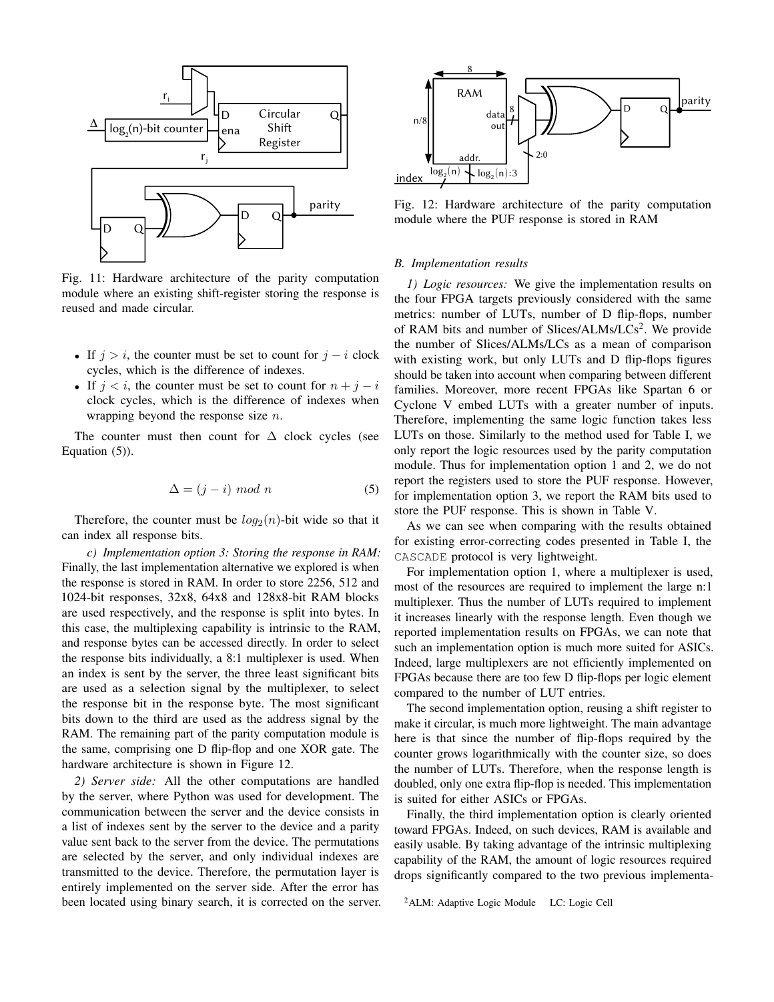<span id="page-9-0"></span>

Fig. 11: Hardware architecture of the parity computation module where an existing shift-register storing the response is reused and made circular.

- If  $j > i$ , the counter must be set to count for  $j i$  clock cycles, which is the difference of indexes.
- If  $j < i$ , the counter must be set to count for  $n + j i$ clock cycles, which is the difference of indexes when wrapping beyond the response size  $n$ .

The counter must then count for  $\Delta$  clock cycles (see Equation [\(5\)](#page-9-1)).

<span id="page-9-1"></span>
$$
\Delta = (j - i) \mod n \tag{5}
$$

Therefore, the counter must be  $log_2(n)$ -bit wide so that it can index all response bits.

*c) Implementation option 3: Storing the response in RAM:* Finally, the last implementation alternative we explored is when the response is stored in RAM. In order to store 2256, 512 and 1024-bit responses, 32x8, 64x8 and 128x8-bit RAM blocks are used respectively, and the response is split into bytes. In this case, the multiplexing capability is intrinsic to the RAM, and response bytes can be accessed directly. In order to select the response bits individually, a 8:1 multiplexer is used. When an index is sent by the server, the three least significant bits are used as a selection signal by the multiplexer, to select the response bit in the response byte. The most significant bits down to the third are used as the address signal by the RAM. The remaining part of the parity computation module is the same, comprising one D flip-flop and one XOR gate. The hardware architecture is shown in Figure [12.](#page-9-2)

*2) Server side:* All the other computations are handled by the server, where Python was used for development. The communication between the server and the device consists in a list of indexes sent by the server to the device and a parity value sent back to the server from the device. The permutations are selected by the server, and only individual indexes are transmitted to the device. Therefore, the permutation layer is entirely implemented on the server side. After the error has been located using binary search, it is corrected on the server.

<span id="page-9-2"></span>

Fig. 12: Hardware architecture of the parity computation module where the PUF response is stored in RAM

## *B. Implementation results*

*1) Logic resources:* We give the implementation results on the four FPGA targets previously considered with the same metrics: number of LUTs, number of D flip-flops, number of RAM bits and number of Slices/ALMs/LCs<sup>[2](#page-9-3)</sup>. We provide the number of Slices/ALMs/LCs as a mean of comparison with existing work, but only LUTs and D flip-flops figures should be taken into account when comparing between different families. Moreover, more recent FPGAs like Spartan 6 or Cyclone V embed LUTs with a greater number of inputs. Therefore, implementing the same logic function takes less LUTs on those. Similarly to the method used for Table [I,](#page-3-0) we only report the logic resources used by the parity computation module. Thus for implementation option 1 and 2, we do not report the registers used to store the PUF response. However, for implementation option 3, we report the RAM bits used to store the PUF response. This is shown in Table [V.](#page-10-0)

As we can see when comparing with the results obtained for existing error-correcting codes presented in Table [I,](#page-3-0) the CASCADE protocol is very lightweight.

For implementation option 1, where a multiplexer is used, most of the resources are required to implement the large n:1 multiplexer. Thus the number of LUTs required to implement it increases linearly with the response length. Even though we reported implementation results on FPGAs, we can note that such an implementation option is much more suited for ASICs. Indeed, large multiplexers are not efficiently implemented on FPGAs because there are too few D flip-flops per logic element compared to the number of LUT entries.

The second implementation option, reusing a shift register to make it circular, is much more lightweight. The main advantage here is that since the number of flip-flops required by the counter grows logarithmically with the counter size, so does the number of LUTs. Therefore, when the response length is doubled, only one extra flip-flop is needed. This implementation is suited for either ASICs or FPGAs.

Finally, the third implementation option is clearly oriented toward FPGAs. Indeed, on such devices, RAM is available and easily usable. By taking advantage of the intrinsic multiplexing capability of the RAM, the amount of logic resources required drops significantly compared to the two previous implementa-

```
<sup>2</sup>ALM: Adaptive Logic Module LC: Logic Cell
```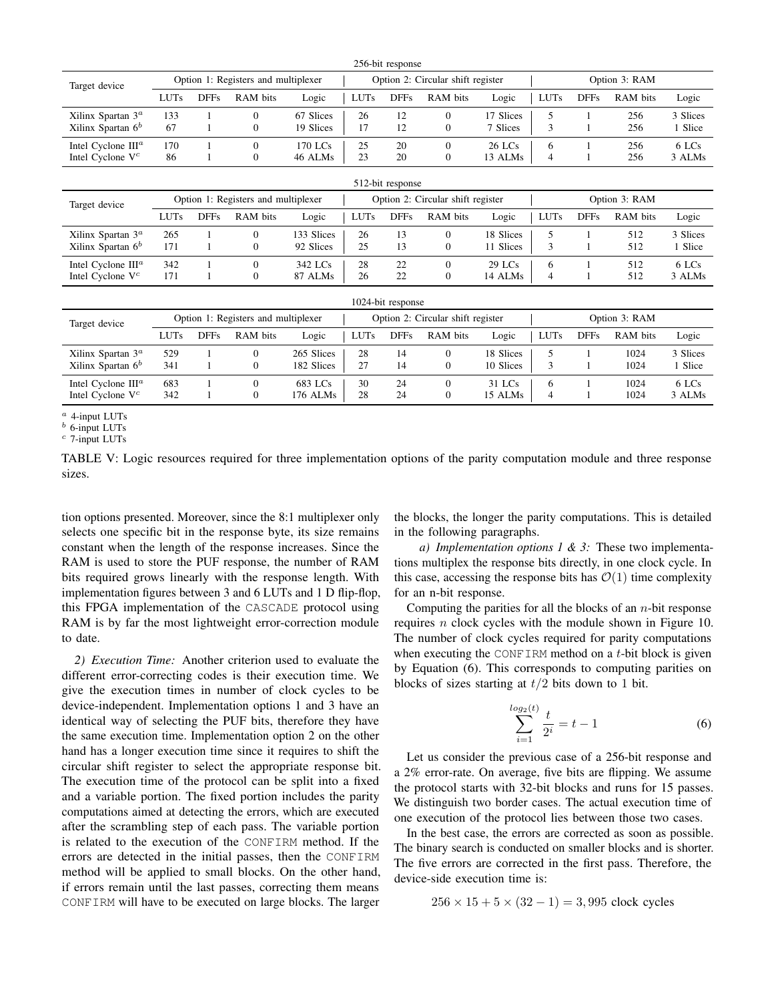<span id="page-10-0"></span>

| 256-bit response               |                                     |             |                                     |                                   |                                   |                   |                  |               |               |             |          |          |
|--------------------------------|-------------------------------------|-------------|-------------------------------------|-----------------------------------|-----------------------------------|-------------------|------------------|---------------|---------------|-------------|----------|----------|
| Target device                  | Option 1: Registers and multiplexer |             |                                     |                                   | Option 2: Circular shift register |                   |                  |               | Option 3: RAM |             |          |          |
|                                | <b>LUTs</b>                         | <b>DFFs</b> | RAM bits                            | Logic                             | <b>LUTs</b>                       | <b>DFFs</b>       | RAM bits         | Logic         | <b>LUTs</b>   | <b>DFFs</b> | RAM bits | Logic    |
| Xilinx Spartan $3^a$           | 133                                 |             | $\mathbf{0}$                        | 67 Slices                         | 26                                | 12                | $\boldsymbol{0}$ | 17 Slices     | 5             |             | 256      | 3 Slices |
| Xilinx Spartan 6 <sup>b</sup>  | 67                                  |             | $\boldsymbol{0}$                    | 19 Slices                         | 17                                | 12                | $\boldsymbol{0}$ | 7 Slices      | 3             |             | 256      | 1 Slice  |
| Intel Cyclone III <sup>a</sup> | 170                                 |             | $\mathbf{0}$                        | 170 LCs                           | 25                                | 20                | $\mathbf{0}$     | 26 LCs        | 6             | 1           | 256      | 6 LCs    |
| Intel Cyclone $V^c$            | 86                                  |             | $\mathbf{0}$                        | 46 ALMs                           | 23                                | 20                | $\mathbf{0}$     | 13 ALMs       | 4             | 1           | 256      | 3 ALMs   |
|                                |                                     |             |                                     |                                   |                                   | 512-bit response  |                  |               |               |             |          |          |
| Target device                  | Option 1: Registers and multiplexer |             |                                     | Option 2: Circular shift register |                                   |                   |                  | Option 3: RAM |               |             |          |          |
|                                | <b>LUTs</b>                         | <b>DFFs</b> | RAM bits                            | Logic                             | <b>LUTs</b>                       | <b>DFFs</b>       | RAM bits         | Logic         | LUTs          | <b>DFFs</b> | RAM bits | Logic    |
| Xilinx Spartan $3^a$           | 265                                 |             | $\mathbf{0}$                        | 133 Slices                        | 26                                | 13                | $\mathbf{0}$     | 18 Slices     | 5             | 1           | 512      | 3 Slices |
| Xilinx Spartan $6b$            | 171                                 |             | $\boldsymbol{0}$                    | 92 Slices                         | 25                                | 13                | $\mathbf{0}$     | 11 Slices     | 3             | 1           | 512      | 1 Slice  |
| Intel Cyclone III <sup>a</sup> | 342                                 |             | $\mathbf{0}$                        | 342 LCs                           | 28                                | 22                | $\mathbf{0}$     | $29$ LCs      | 6             | 1           | 512      | 6 LCs    |
| Intel Cyclone V <sup>c</sup>   | 171                                 |             | $\mathbf{0}$                        | 87 ALMs                           | 26                                | 22                | $\mathbf{0}$     | 14 ALMs       | 4             |             | 512      | 3 ALMs   |
|                                |                                     |             |                                     |                                   |                                   | 1024-bit response |                  |               |               |             |          |          |
| Target device                  |                                     |             | Option 1: Registers and multiplexer |                                   | Option 2: Circular shift register |                   |                  |               | Option 3: RAM |             |          |          |
|                                | <b>LUTs</b>                         | <b>DFFs</b> | RAM bits                            | Logic                             | <b>LUTs</b>                       | <b>DFFs</b>       | RAM bits         | Logic         | <b>LUTs</b>   | <b>DFFs</b> | RAM bits | Logic    |
| Xilinx Spartan $3^a$           | 529                                 |             | $\mathbf{0}$                        | 265 Slices                        | 28                                | 14                | $\mathbf{0}$     | 18 Slices     | 5             | 1           | 1024     | 3 Slices |
| Xilinx Spartan $6b$            | 341                                 |             | $\boldsymbol{0}$                    | 182 Slices                        | 27                                | 14                | $\boldsymbol{0}$ | 10 Slices     | 3             | 1           | 1024     | 1 Slice  |
| Intel Cyclone III <sup>a</sup> | 683                                 |             | $\mathbf{0}$                        | 683 LCs                           | 30                                | 24                | $\mathbf{0}$     | 31 LCs        | 6             | 1           | 1024     | 6 LCs    |
| Intel Cyclone V <sup>c</sup>   | 342                                 |             | $\boldsymbol{0}$                    | 176 ALMs                          | 28                                | 24                | $\boldsymbol{0}$ | 15 ALMs       | 4             |             | 1024     | 3 ALMs   |
|                                |                                     |             |                                     |                                   |                                   |                   |                  |               |               |             |          |          |

 $a$  4-input LUTs

 $<sup>b</sup>$  6-input LUTs</sup>

 $c$  7-input LUTs

TABLE V: Logic resources required for three implementation options of the parity computation module and three response sizes.

tion options presented. Moreover, since the 8:1 multiplexer only selects one specific bit in the response byte, its size remains constant when the length of the response increases. Since the RAM is used to store the PUF response, the number of RAM bits required grows linearly with the response length. With implementation figures between 3 and 6 LUTs and 1 D flip-flop, this FPGA implementation of the CASCADE protocol using RAM is by far the most lightweight error-correction module to date.

*2) Execution Time:* Another criterion used to evaluate the different error-correcting codes is their execution time. We give the execution times in number of clock cycles to be device-independent. Implementation options 1 and 3 have an identical way of selecting the PUF bits, therefore they have the same execution time. Implementation option 2 on the other hand has a longer execution time since it requires to shift the circular shift register to select the appropriate response bit. The execution time of the protocol can be split into a fixed and a variable portion. The fixed portion includes the parity computations aimed at detecting the errors, which are executed after the scrambling step of each pass. The variable portion is related to the execution of the CONFIRM method. If the errors are detected in the initial passes, then the CONFIRM method will be applied to small blocks. On the other hand, if errors remain until the last passes, correcting them means CONFIRM will have to be executed on large blocks. The larger

the blocks, the longer the parity computations. This is detailed in the following paragraphs.

*a) Implementation options 1 & 3:* These two implementations multiplex the response bits directly, in one clock cycle. In this case, accessing the response bits has  $\mathcal{O}(1)$  time complexity for an n-bit response.

Computing the parities for all the blocks of an  $n$ -bit response requires n clock cycles with the module shown in Figure [10.](#page-8-3) The number of clock cycles required for parity computations when executing the CONFIRM method on a  $t$ -bit block is given by Equation [\(6\)](#page-10-1). This corresponds to computing parities on blocks of sizes starting at  $t/2$  bits down to 1 bit.

<span id="page-10-1"></span>
$$
\sum_{i=1}^{\log_2(t)} \frac{t}{2^i} = t - 1
$$
 (6)

Let us consider the previous case of a 256-bit response and a 2% error-rate. On average, five bits are flipping. We assume the protocol starts with 32-bit blocks and runs for 15 passes. We distinguish two border cases. The actual execution time of one execution of the protocol lies between those two cases.

In the best case, the errors are corrected as soon as possible. The binary search is conducted on smaller blocks and is shorter. The five errors are corrected in the first pass. Therefore, the device-side execution time is:

$$
256 \times 15 + 5 \times (32 - 1) = 3,995
$$
 clock cycles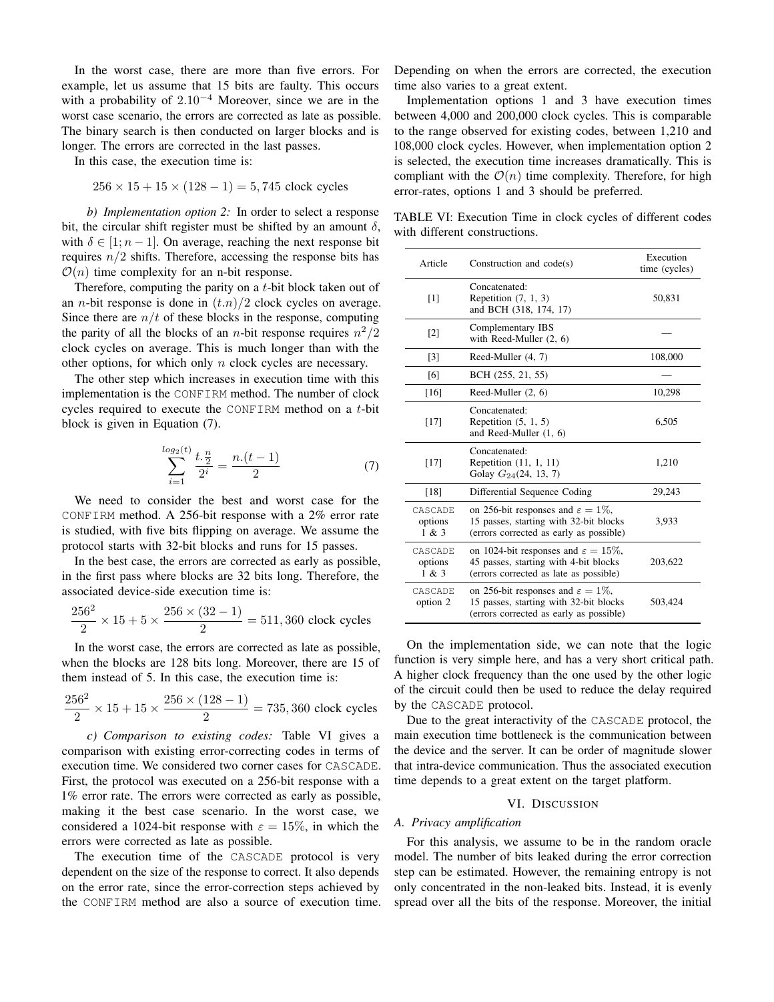In the worst case, there are more than five errors. For example, let us assume that 15 bits are faulty. This occurs with a probability of  $2.10^{-4}$  Moreover, since we are in the worst case scenario, the errors are corrected as late as possible. The binary search is then conducted on larger blocks and is longer. The errors are corrected in the last passes.

In this case, the execution time is:

$$
256 \times 15 + 15 \times (128 - 1) = 5,745
$$
 clock cycles

*b) Implementation option 2:* In order to select a response bit, the circular shift register must be shifted by an amount  $\delta$ , with  $\delta \in [1; n-1]$ . On average, reaching the next response bit requires  $n/2$  shifts. Therefore, accessing the response bits has  $\mathcal{O}(n)$  time complexity for an n-bit response.

Therefore, computing the parity on a t-bit block taken out of an *n*-bit response is done in  $(t.n)/2$  clock cycles on average. Since there are  $n/t$  of these blocks in the response, computing the parity of all the blocks of an *n*-bit response requires  $n^2/2$ clock cycles on average. This is much longer than with the other options, for which only n clock cycles are necessary.

The other step which increases in execution time with this implementation is the CONFIRM method. The number of clock cycles required to execute the CONFIRM method on a t-bit block is given in Equation [\(7\)](#page-11-1).

<span id="page-11-1"></span>
$$
\sum_{i=1}^{\log_2(t)} \frac{t \cdot \frac{n}{2}}{2^i} = \frac{n \cdot (t-1)}{2} \tag{7}
$$

We need to consider the best and worst case for the CONFIRM method. A 256-bit response with a 2% error rate is studied, with five bits flipping on average. We assume the protocol starts with 32-bit blocks and runs for 15 passes.

In the best case, the errors are corrected as early as possible, in the first pass where blocks are 32 bits long. Therefore, the associated device-side execution time is:

$$
\frac{256^2}{2} \times 15 + 5 \times \frac{256 \times (32 - 1)}{2} = 511,360
$$
 clock cycles

In the worst case, the errors are corrected as late as possible, when the blocks are 128 bits long. Moreover, there are 15 of them instead of 5. In this case, the execution time is:

$$
\frac{256^2}{2} \times 15 + 15 \times \frac{256 \times (128 - 1)}{2} = 735,360
$$
 clock cycles

*c) Comparison to existing codes:* Table [VI](#page-11-2) gives a comparison with existing error-correcting codes in terms of execution time. We considered two corner cases for CASCADE. First, the protocol was executed on a 256-bit response with a 1% error rate. The errors were corrected as early as possible, making it the best case scenario. In the worst case, we considered a 1024-bit response with  $\varepsilon = 15\%$ , in which the errors were corrected as late as possible.

The execution time of the CASCADE protocol is very dependent on the size of the response to correct. It also depends on the error rate, since the error-correction steps achieved by the CONFIRM method are also a source of execution time. Depending on when the errors are corrected, the execution time also varies to a great extent.

Implementation options 1 and 3 have execution times between 4,000 and 200,000 clock cycles. This is comparable to the range observed for existing codes, between 1,210 and 108,000 clock cycles. However, when implementation option 2 is selected, the execution time increases dramatically. This is compliant with the  $\mathcal{O}(n)$  time complexity. Therefore, for high error-rates, options 1 and 3 should be preferred.

<span id="page-11-2"></span>TABLE VI: Execution Time in clock cycles of different codes with different constructions.

| Article                     | Construction and $code(s)$                                                                                                          | Execution<br>time (cycles) |
|-----------------------------|-------------------------------------------------------------------------------------------------------------------------------------|----------------------------|
| [1]                         | Concatenated:<br>Repetition $(7, 1, 3)$<br>and BCH (318, 174, 17)                                                                   | 50,831                     |
| $\lceil 2 \rceil$           | Complementary IBS<br>with Reed-Muller $(2, 6)$                                                                                      |                            |
| $\lceil 3 \rceil$           | Reed-Muller (4, 7)                                                                                                                  | 108,000                    |
| [6]                         | BCH (255, 21, 55)                                                                                                                   |                            |
| [16]                        | Reed-Muller $(2, 6)$                                                                                                                | 10,298                     |
| $[17]$                      | Concatenated:<br>Repetition $(5, 1, 5)$<br>and Reed-Muller $(1, 6)$                                                                 | 6,505                      |
| $[17]$                      | Concatenated:<br>Repetition (11, 1, 11)<br>Golay $G_{24}(24, 13, 7)$                                                                | 1,210                      |
| [18]                        | Differential Sequence Coding                                                                                                        | 29,243                     |
| CASCADE<br>options<br>1 & 3 | on 256-bit responses and $\varepsilon = 1\%$ ,<br>15 passes, starting with 32-bit blocks<br>(errors corrected as early as possible) | 3,933                      |
| CASCADE<br>options<br>1 & 3 | on 1024-bit responses and $\varepsilon = 15\%$ ,<br>45 passes, starting with 4-bit blocks<br>(errors corrected as late as possible) | 203,622                    |
| CASCADE<br>option 2         | on 256-bit responses and $\varepsilon = 1\%$ ,<br>15 passes, starting with 32-bit blocks<br>(errors corrected as early as possible) | 503,424                    |

On the implementation side, we can note that the logic function is very simple here, and has a very short critical path. A higher clock frequency than the one used by the other logic of the circuit could then be used to reduce the delay required by the CASCADE protocol.

Due to the great interactivity of the CASCADE protocol, the main execution time bottleneck is the communication between the device and the server. It can be order of magnitude slower that intra-device communication. Thus the associated execution time depends to a great extent on the target platform.

#### VI. DISCUSSION

# <span id="page-11-0"></span>*A. Privacy amplification*

For this analysis, we assume to be in the random oracle model. The number of bits leaked during the error correction step can be estimated. However, the remaining entropy is not only concentrated in the non-leaked bits. Instead, it is evenly spread over all the bits of the response. Moreover, the initial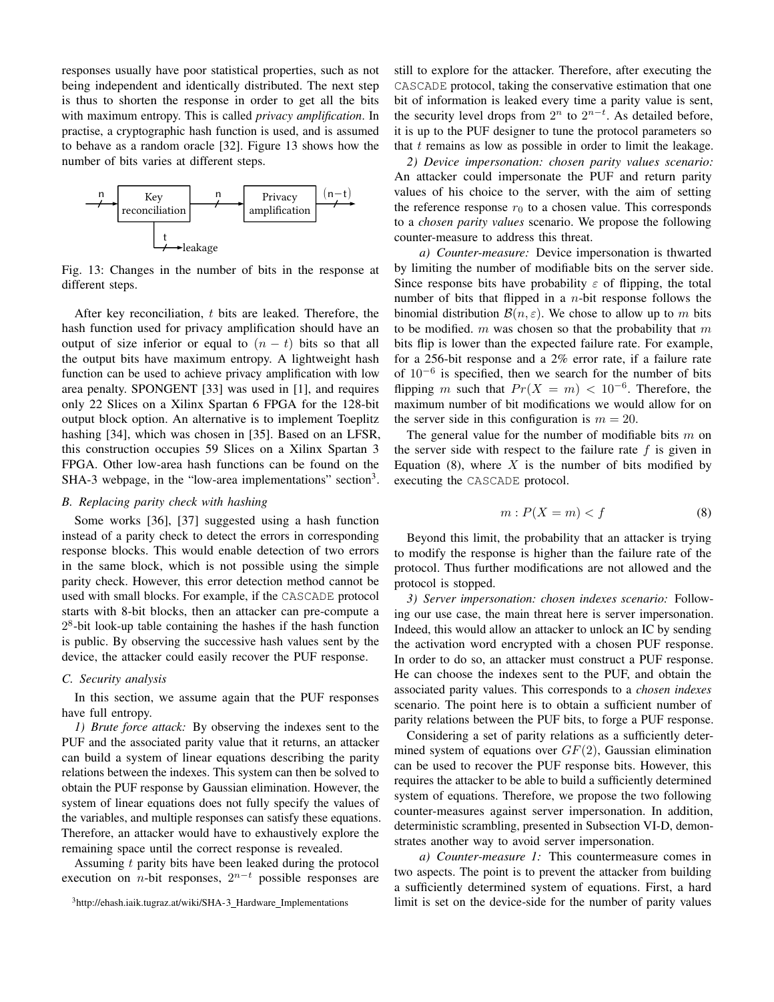responses usually have poor statistical properties, such as not being independent and identically distributed. The next step is thus to shorten the response in order to get all the bits with maximum entropy. This is called *privacy amplification*. In practise, a cryptographic hash function is used, and is assumed to behave as a random oracle [\[32\]](#page-14-31). Figure [13](#page-12-0) shows how the number of bits varies at different steps.

<span id="page-12-0"></span>

Fig. 13: Changes in the number of bits in the response at different steps.

After key reconciliation, t bits are leaked. Therefore, the hash function used for privacy amplification should have an output of size inferior or equal to  $(n - t)$  bits so that all the output bits have maximum entropy. A lightweight hash function can be used to achieve privacy amplification with low area penalty. SPONGENT [\[33\]](#page-14-32) was used in [\[1\]](#page-14-0), and requires only 22 Slices on a Xilinx Spartan 6 FPGA for the 128-bit output block option. An alternative is to implement Toeplitz hashing [\[34\]](#page-14-33), which was chosen in [\[35\]](#page-14-34). Based on an LFSR, this construction occupies 59 Slices on a Xilinx Spartan 3 FPGA. Other low-area hash functions can be found on the SHA-[3](#page-12-1) webpage, in the "low-area implementations" section<sup>3</sup>.

# *B. Replacing parity check with hashing*

Some works [\[36\]](#page-14-35), [\[37\]](#page-14-36) suggested using a hash function instead of a parity check to detect the errors in corresponding response blocks. This would enable detection of two errors in the same block, which is not possible using the simple parity check. However, this error detection method cannot be used with small blocks. For example, if the CASCADE protocol starts with 8-bit blocks, then an attacker can pre-compute a  $2<sup>8</sup>$ -bit look-up table containing the hashes if the hash function is public. By observing the successive hash values sent by the device, the attacker could easily recover the PUF response.

#### *C. Security analysis*

In this section, we assume again that the PUF responses have full entropy.

*1) Brute force attack:* By observing the indexes sent to the PUF and the associated parity value that it returns, an attacker can build a system of linear equations describing the parity relations between the indexes. This system can then be solved to obtain the PUF response by Gaussian elimination. However, the system of linear equations does not fully specify the values of the variables, and multiple responses can satisfy these equations. Therefore, an attacker would have to exhaustively explore the remaining space until the correct response is revealed.

Assuming  $t$  parity bits have been leaked during the protocol execution on *n*-bit responses,  $2^{n-t}$  possible responses are still to explore for the attacker. Therefore, after executing the CASCADE protocol, taking the conservative estimation that one bit of information is leaked every time a parity value is sent, the security level drops from  $2^n$  to  $2^{n-t}$ . As detailed before, it is up to the PUF designer to tune the protocol parameters so that  $t$  remains as low as possible in order to limit the leakage.

*2) Device impersonation: chosen parity values scenario:* An attacker could impersonate the PUF and return parity values of his choice to the server, with the aim of setting the reference response  $r_0$  to a chosen value. This corresponds to a *chosen parity values* scenario. We propose the following counter-measure to address this threat.

*a) Counter-measure:* Device impersonation is thwarted by limiting the number of modifiable bits on the server side. Since response bits have probability  $\varepsilon$  of flipping, the total number of bits that flipped in a  $n$ -bit response follows the binomial distribution  $\mathcal{B}(n, \varepsilon)$ . We chose to allow up to m bits to be modified.  $m$  was chosen so that the probability that  $m$ bits flip is lower than the expected failure rate. For example, for a 256-bit response and a 2% error rate, if a failure rate of  $10^{-6}$  is specified, then we search for the number of bits flipping m such that  $Pr(X = m) < 10^{-6}$ . Therefore, the maximum number of bit modifications we would allow for on the server side in this configuration is  $m = 20$ .

The general value for the number of modifiable bits  $m$  on the server side with respect to the failure rate  $f$  is given in Equation [\(8\)](#page-12-2), where  $X$  is the number of bits modified by executing the CASCADE protocol.

<span id="page-12-2"></span>
$$
m: P(X = m) < f \tag{8}
$$

Beyond this limit, the probability that an attacker is trying to modify the response is higher than the failure rate of the protocol. Thus further modifications are not allowed and the protocol is stopped.

*3) Server impersonation: chosen indexes scenario:* Following our use case, the main threat here is server impersonation. Indeed, this would allow an attacker to unlock an IC by sending the activation word encrypted with a chosen PUF response. In order to do so, an attacker must construct a PUF response. He can choose the indexes sent to the PUF, and obtain the associated parity values. This corresponds to a *chosen indexes* scenario. The point here is to obtain a sufficient number of parity relations between the PUF bits, to forge a PUF response.

Considering a set of parity relations as a sufficiently determined system of equations over  $GF(2)$ , Gaussian elimination can be used to recover the PUF response bits. However, this requires the attacker to be able to build a sufficiently determined system of equations. Therefore, we propose the two following counter-measures against server impersonation. In addition, deterministic scrambling, presented in Subsection [VI-D,](#page-13-0) demonstrates another way to avoid server impersonation.

*a) Counter-measure 1:* This countermeasure comes in two aspects. The point is to prevent the attacker from building a sufficiently determined system of equations. First, a hard limit is set on the device-side for the number of parity values

<span id="page-12-1"></span><sup>&</sup>lt;sup>3</sup>[http://ehash.iaik.tugraz.at/wiki/SHA-3](http://ehash.iaik.tugraz.at/wiki/SHA-3_Hardware_Implementations)\_Hardware\_Implementations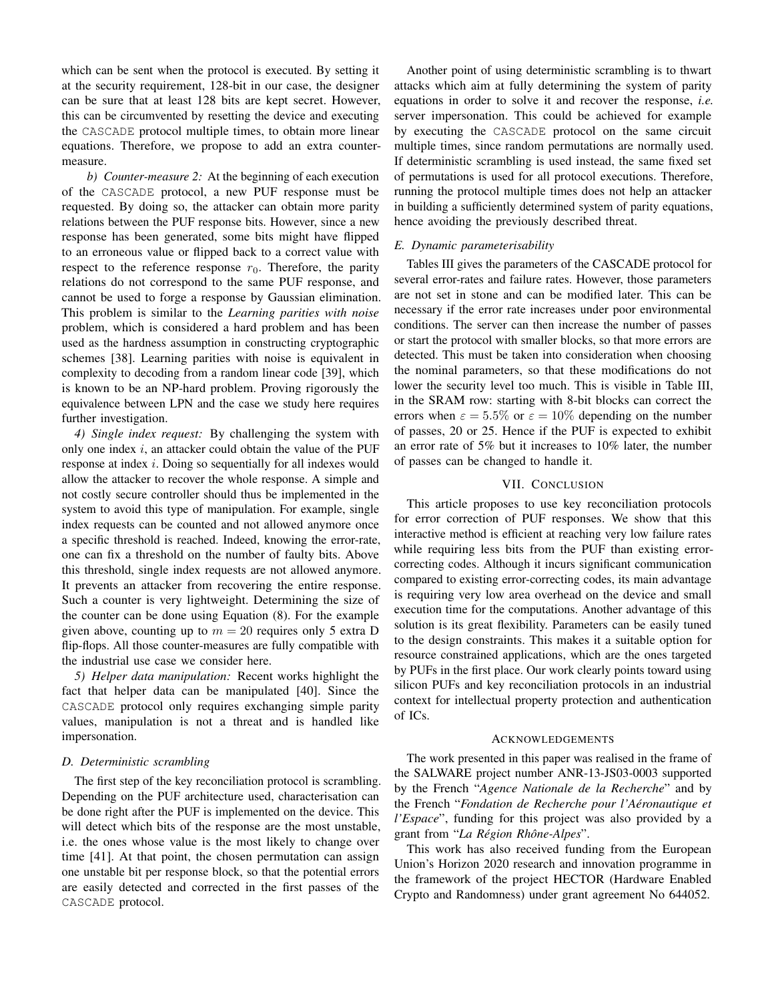which can be sent when the protocol is executed. By setting it at the security requirement, 128-bit in our case, the designer can be sure that at least 128 bits are kept secret. However, this can be circumvented by resetting the device and executing the CASCADE protocol multiple times, to obtain more linear equations. Therefore, we propose to add an extra countermeasure.

*b) Counter-measure 2:* At the beginning of each execution of the CASCADE protocol, a new PUF response must be requested. By doing so, the attacker can obtain more parity relations between the PUF response bits. However, since a new response has been generated, some bits might have flipped to an erroneous value or flipped back to a correct value with respect to the reference response  $r_0$ . Therefore, the parity relations do not correspond to the same PUF response, and cannot be used to forge a response by Gaussian elimination. This problem is similar to the *Learning parities with noise* problem, which is considered a hard problem and has been used as the hardness assumption in constructing cryptographic schemes [\[38\]](#page-14-37). Learning parities with noise is equivalent in complexity to decoding from a random linear code [\[39\]](#page-14-38), which is known to be an NP-hard problem. Proving rigorously the equivalence between LPN and the case we study here requires further investigation.

*4) Single index request:* By challenging the system with only one index  $i$ , an attacker could obtain the value of the PUF response at index i. Doing so sequentially for all indexes would allow the attacker to recover the whole response. A simple and not costly secure controller should thus be implemented in the system to avoid this type of manipulation. For example, single index requests can be counted and not allowed anymore once a specific threshold is reached. Indeed, knowing the error-rate, one can fix a threshold on the number of faulty bits. Above this threshold, single index requests are not allowed anymore. It prevents an attacker from recovering the entire response. Such a counter is very lightweight. Determining the size of the counter can be done using Equation [\(8\)](#page-12-2). For the example given above, counting up to  $m = 20$  requires only 5 extra D flip-flops. All those counter-measures are fully compatible with the industrial use case we consider here.

*5) Helper data manipulation:* Recent works highlight the fact that helper data can be manipulated [\[40\]](#page-14-39). Since the CASCADE protocol only requires exchanging simple parity values, manipulation is not a threat and is handled like impersonation.

## <span id="page-13-0"></span>*D. Deterministic scrambling*

The first step of the key reconciliation protocol is scrambling. Depending on the PUF architecture used, characterisation can be done right after the PUF is implemented on the device. This will detect which bits of the response are the most unstable, i.e. the ones whose value is the most likely to change over time [\[41\]](#page-14-40). At that point, the chosen permutation can assign one unstable bit per response block, so that the potential errors are easily detected and corrected in the first passes of the CASCADE protocol.

Another point of using deterministic scrambling is to thwart attacks which aim at fully determining the system of parity equations in order to solve it and recover the response, *i.e.* server impersonation. This could be achieved for example by executing the CASCADE protocol on the same circuit multiple times, since random permutations are normally used. If deterministic scrambling is used instead, the same fixed set of permutations is used for all protocol executions. Therefore, running the protocol multiple times does not help an attacker in building a sufficiently determined system of parity equations, hence avoiding the previously described threat.

## *E. Dynamic parameterisability*

Tables [III](#page-8-1) gives the parameters of the CASCADE protocol for several error-rates and failure rates. However, those parameters are not set in stone and can be modified later. This can be necessary if the error rate increases under poor environmental conditions. The server can then increase the number of passes or start the protocol with smaller blocks, so that more errors are detected. This must be taken into consideration when choosing the nominal parameters, so that these modifications do not lower the security level too much. This is visible in Table [III,](#page-8-1) in the SRAM row: starting with 8-bit blocks can correct the errors when  $\varepsilon = 5.5\%$  or  $\varepsilon = 10\%$  depending on the number of passes, 20 or 25. Hence if the PUF is expected to exhibit an error rate of 5% but it increases to 10% later, the number of passes can be changed to handle it.

# VII. CONCLUSION

This article proposes to use key reconciliation protocols for error correction of PUF responses. We show that this interactive method is efficient at reaching very low failure rates while requiring less bits from the PUF than existing errorcorrecting codes. Although it incurs significant communication compared to existing error-correcting codes, its main advantage is requiring very low area overhead on the device and small execution time for the computations. Another advantage of this solution is its great flexibility. Parameters can be easily tuned to the design constraints. This makes it a suitable option for resource constrained applications, which are the ones targeted by PUFs in the first place. Our work clearly points toward using silicon PUFs and key reconciliation protocols in an industrial context for intellectual property protection and authentication of ICs.

#### ACKNOWLEDGEMENTS

The work presented in this paper was realised in the frame of the SALWARE project number ANR-13-JS03-0003 supported by the French "*Agence Nationale de la Recherche*" and by the French "*Fondation de Recherche pour l'Aeronautique et ´ l'Espace*", funding for this project was also provided by a grant from "*La Région Rhône-Alpes*".

This work has also received funding from the European Union's Horizon 2020 research and innovation programme in the framework of the project HECTOR (Hardware Enabled Crypto and Randomness) under grant agreement No 644052.